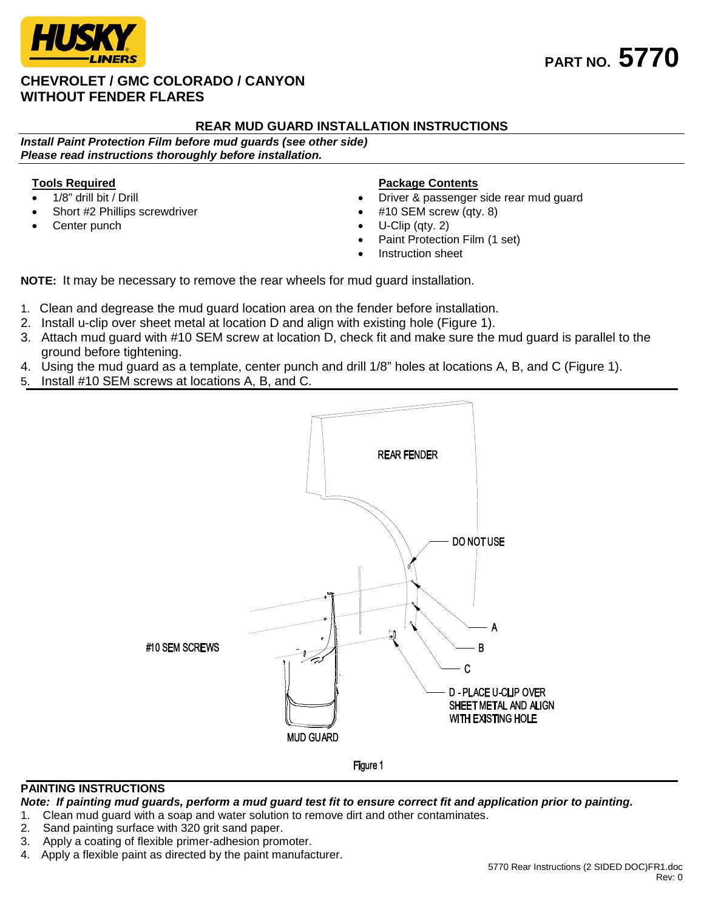

## **CHEVROLET / GMC COLORADO / CANYON WITHOUT FENDER FLARES**

# **PART NO. 5770**

## **REAR MUD GUARD INSTALLATION INSTRUCTIONS**

*Install Paint Protection Film before mud guards (see other side) Please read instructions thoroughly before installation.*

### **Tools Required**

- 1/8" drill bit / Drill
- Short #2 Phillips screwdriver
- Center punch

#### **Package Contents**

- Driver & passenger side rear mud guard
- #10 SEM screw (qty. 8)
- U-Clip (qty. 2)
- Paint Protection Film (1 set)
- Instruction sheet

**NOTE:** It may be necessary to remove the rear wheels for mud guard installation.

- 1. Clean and degrease the mud guard location area on the fender before installation.
- 2. Install u-clip over sheet metal at location D and align with existing hole (Figure 1).
- 3. Attach mud guard with #10 SEM screw at location D, check fit and make sure the mud guard is parallel to the ground before tightening.
- 4. Using the mud guard as a template, center punch and drill 1/8" holes at locations A, B, and C (Figure 1).
- 5. Install #10 SEM screws at locations A, B, and C.



#### **PAINTING INSTRUCTIONS**

*Note: If painting mud guards, perform a mud guard test fit to ensure correct fit and application prior to painting.*

- 1. Clean mud guard with a soap and water solution to remove dirt and other contaminates.
- 2. Sand painting surface with 320 grit sand paper.
- 3. Apply a coating of flexible primer-adhesion promoter.
- 4. Apply a flexible paint as directed by the paint manufacturer.